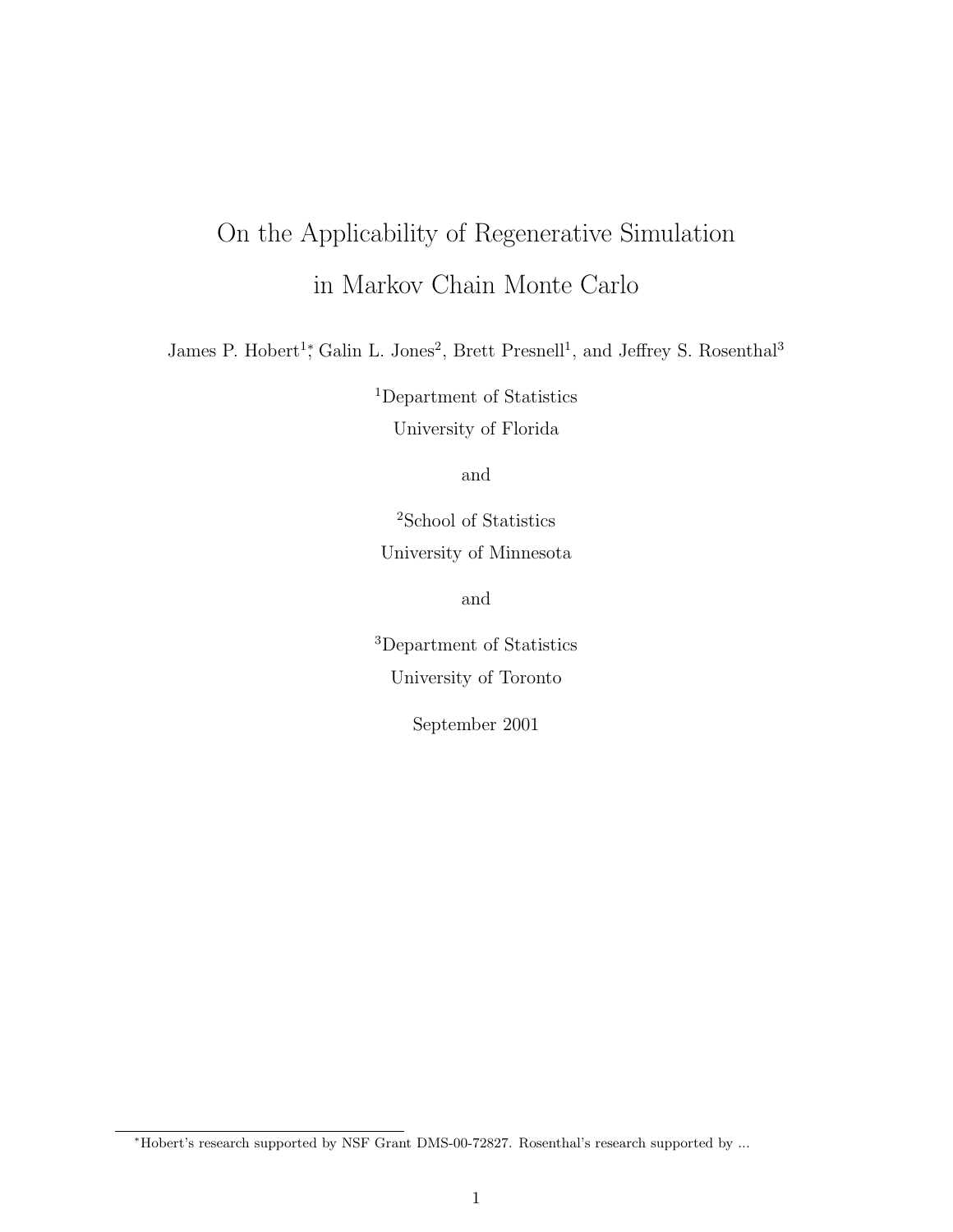# On the Applicability of Regenerative Simulation in Markov Chain Monte Carlo

James P. Hobert<sup>1</sup>,<sup>\*</sup> Galin L. Jones<sup>2</sup>, Brett Presnell<sup>1</sup>, and Jeffrey S. Rosenthal<sup>3</sup>

<sup>1</sup>Department of Statistics

University of Florida

and

<sup>2</sup>School of Statistics University of Minnesota

and

<sup>3</sup>Department of Statistics University of Toronto

September 2001

<sup>∗</sup>Hobert's research supported by NSF Grant DMS-00-72827. Rosenthal's research supported by ...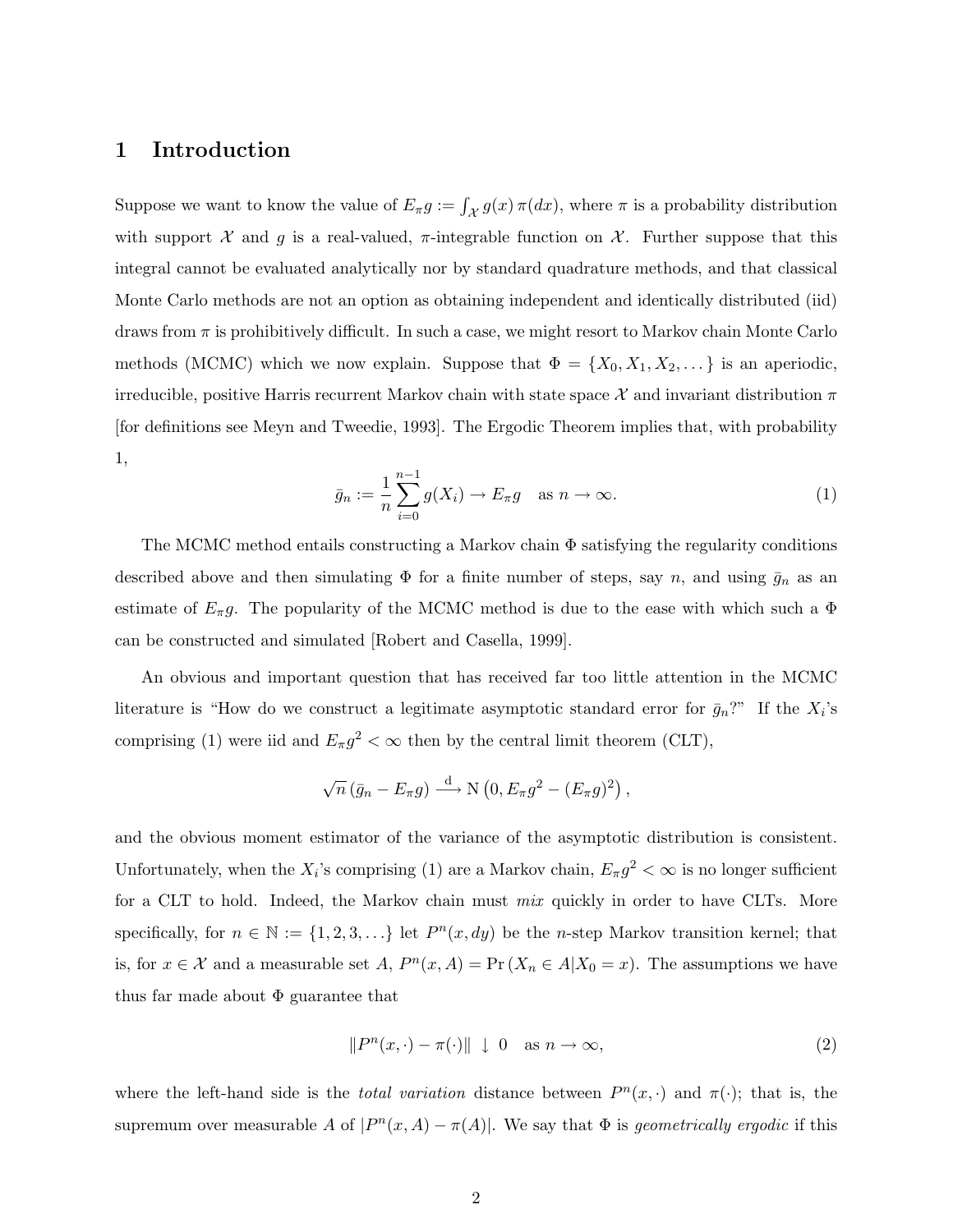## 1 Introduction

Suppose we want to know the value of  $E_{\pi}g := \int_{\mathcal{X}} g(x) \pi(dx)$ , where  $\pi$  is a probability distribution with support X and g is a real-valued,  $\pi$ -integrable function on X. Further suppose that this integral cannot be evaluated analytically nor by standard quadrature methods, and that classical Monte Carlo methods are not an option as obtaining independent and identically distributed (iid) draws from  $\pi$  is prohibitively difficult. In such a case, we might resort to Markov chain Monte Carlo methods (MCMC) which we now explain. Suppose that  $\Phi = \{X_0, X_1, X_2, \dots\}$  is an aperiodic, irreducible, positive Harris recurrent Markov chain with state space X and invariant distribution  $\pi$ [for definitions see Meyn and Tweedie, 1993]. The Ergodic Theorem implies that, with probability 1,

$$
\bar{g}_n := \frac{1}{n} \sum_{i=0}^{n-1} g(X_i) \to E_\pi g \quad \text{as } n \to \infty.
$$
 (1)

The MCMC method entails constructing a Markov chain  $\Phi$  satisfying the regularity conditions described above and then simulating  $\Phi$  for a finite number of steps, say n, and using  $\bar{g}_n$  as an estimate of  $E_{\pi}g$ . The popularity of the MCMC method is due to the ease with which such a  $\Phi$ can be constructed and simulated [Robert and Casella, 1999].

An obvious and important question that has received far too little attention in the MCMC literature is "How do we construct a legitimate asymptotic standard error for  $\bar{g}_n$ ?" If the  $X_i$ 's comprising (1) were iid and  $E_{\pi}g^2 < \infty$  then by the central limit theorem (CLT),

$$
\sqrt{n} (\bar{g}_n - E_{\pi} g) \stackrel{\text{d}}{\longrightarrow} \text{N} (0, E_{\pi} g^2 - (E_{\pi} g)^2),
$$

and the obvious moment estimator of the variance of the asymptotic distribution is consistent. Unfortunately, when the  $X_i$ 's comprising (1) are a Markov chain,  $E_{\pi}g^2 < \infty$  is no longer sufficient for a CLT to hold. Indeed, the Markov chain must mix quickly in order to have CLTs. More specifically, for  $n \in \mathbb{N} := \{1, 2, 3, ...\}$  let  $P^n(x, dy)$  be the *n*-step Markov transition kernel; that is, for  $x \in \mathcal{X}$  and a measurable set  $A$ ,  $P^{n}(x, A) = \Pr(X_n \in A | X_0 = x)$ . The assumptions we have thus far made about  $\Phi$  guarantee that

$$
||P^n(x, \cdot) - \pi(\cdot)|| \downarrow 0 \quad \text{as } n \to \infty,
$$
\n(2)

where the left-hand side is the *total variation* distance between  $P^{n}(x, \cdot)$  and  $\pi(\cdot)$ ; that is, the supremum over measurable A of  $|P^n(x, A) - \pi(A)|$ . We say that  $\Phi$  is *geometrically ergodic* if this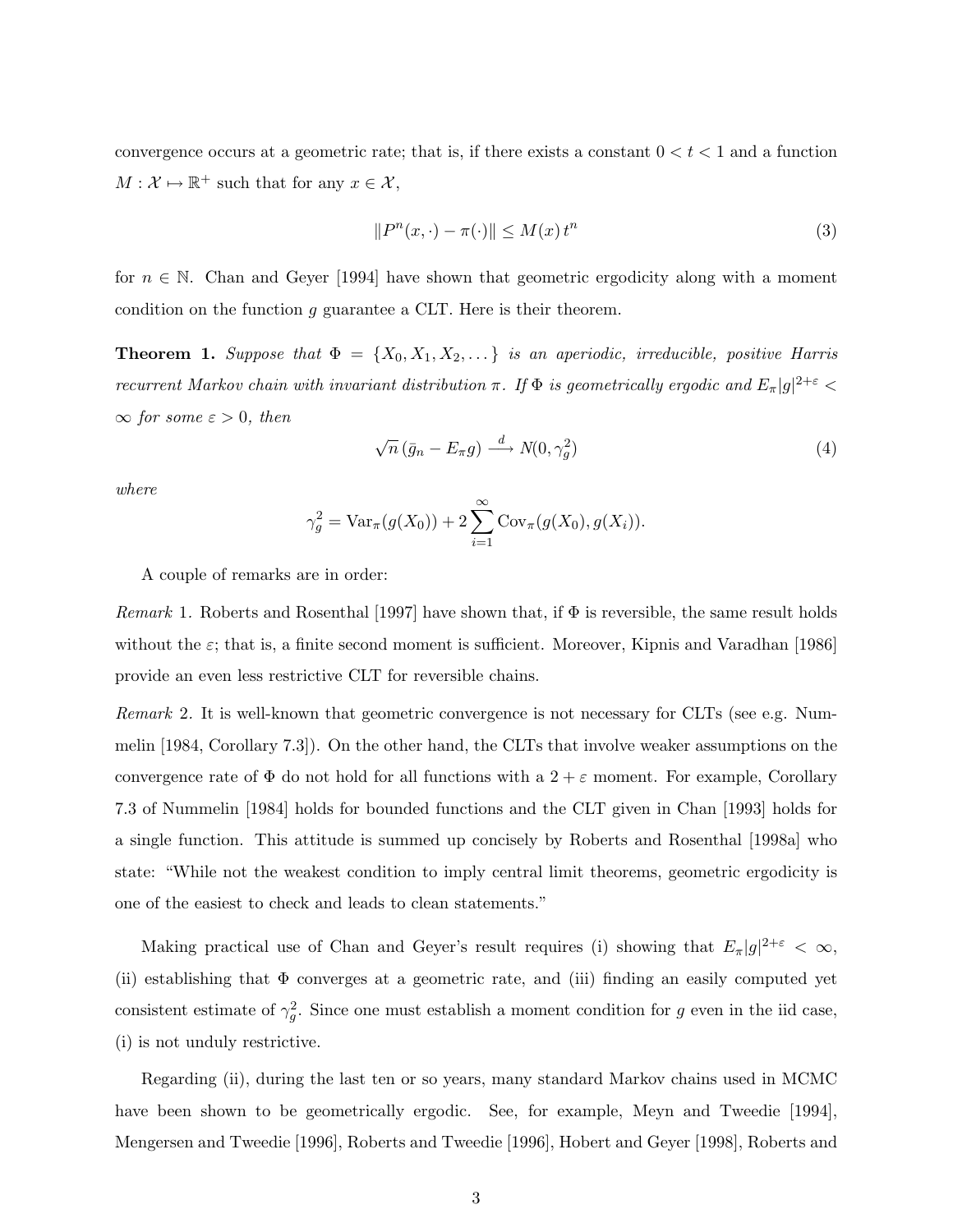convergence occurs at a geometric rate; that is, if there exists a constant  $0 < t < 1$  and a function  $M: \mathcal{X} \mapsto \mathbb{R}^+$  such that for any  $x \in \mathcal{X}$ ,

$$
||P^n(x, \cdot) - \pi(\cdot)|| \le M(x) t^n \tag{3}
$$

for  $n \in \mathbb{N}$ . Chan and Geyer [1994] have shown that geometric ergodicity along with a moment condition on the function g guarantee a CLT. Here is their theorem.

**Theorem 1.** Suppose that  $\Phi = \{X_0, X_1, X_2, \dots\}$  is an aperiodic, irreducible, positive Harris recurrent Markov chain with invariant distribution  $\pi$ . If  $\Phi$  is geometrically ergodic and  $E_{\pi}|g|^{2+\varepsilon}$  $\infty$  for some  $\varepsilon > 0$ , then

$$
\sqrt{n} \left( \bar{g}_n - E_\pi g \right) \xrightarrow{d} N(0, \gamma_g^2) \tag{4}
$$

where

$$
\gamma_g^2 = \text{Var}_{\pi}(g(X_0)) + 2 \sum_{i=1}^{\infty} \text{Cov}_{\pi}(g(X_0), g(X_i)).
$$

A couple of remarks are in order:

*Remark* 1. Roberts and Rosenthal [1997] have shown that, if  $\Phi$  is reversible, the same result holds without the  $\varepsilon$ ; that is, a finite second moment is sufficient. Moreover, Kipnis and Varadhan [1986] provide an even less restrictive CLT for reversible chains.

Remark 2. It is well-known that geometric convergence is not necessary for CLTs (see e.g. Nummelin [1984, Corollary 7.3]). On the other hand, the CLTs that involve weaker assumptions on the convergence rate of  $\Phi$  do not hold for all functions with a  $2 + \varepsilon$  moment. For example, Corollary 7.3 of Nummelin [1984] holds for bounded functions and the CLT given in Chan [1993] holds for a single function. This attitude is summed up concisely by Roberts and Rosenthal [1998a] who state: "While not the weakest condition to imply central limit theorems, geometric ergodicity is one of the easiest to check and leads to clean statements."

Making practical use of Chan and Geyer's result requires (i) showing that  $E_{\pi}|g|^{2+\epsilon} < \infty$ , (ii) establishing that Φ converges at a geometric rate, and (iii) finding an easily computed yet consistent estimate of  $\gamma_g^2$ . Since one must establish a moment condition for g even in the iid case, (i) is not unduly restrictive.

Regarding (ii), during the last ten or so years, many standard Markov chains used in MCMC have been shown to be geometrically ergodic. See, for example, Meyn and Tweedie [1994], Mengersen and Tweedie [1996], Roberts and Tweedie [1996], Hobert and Geyer [1998], Roberts and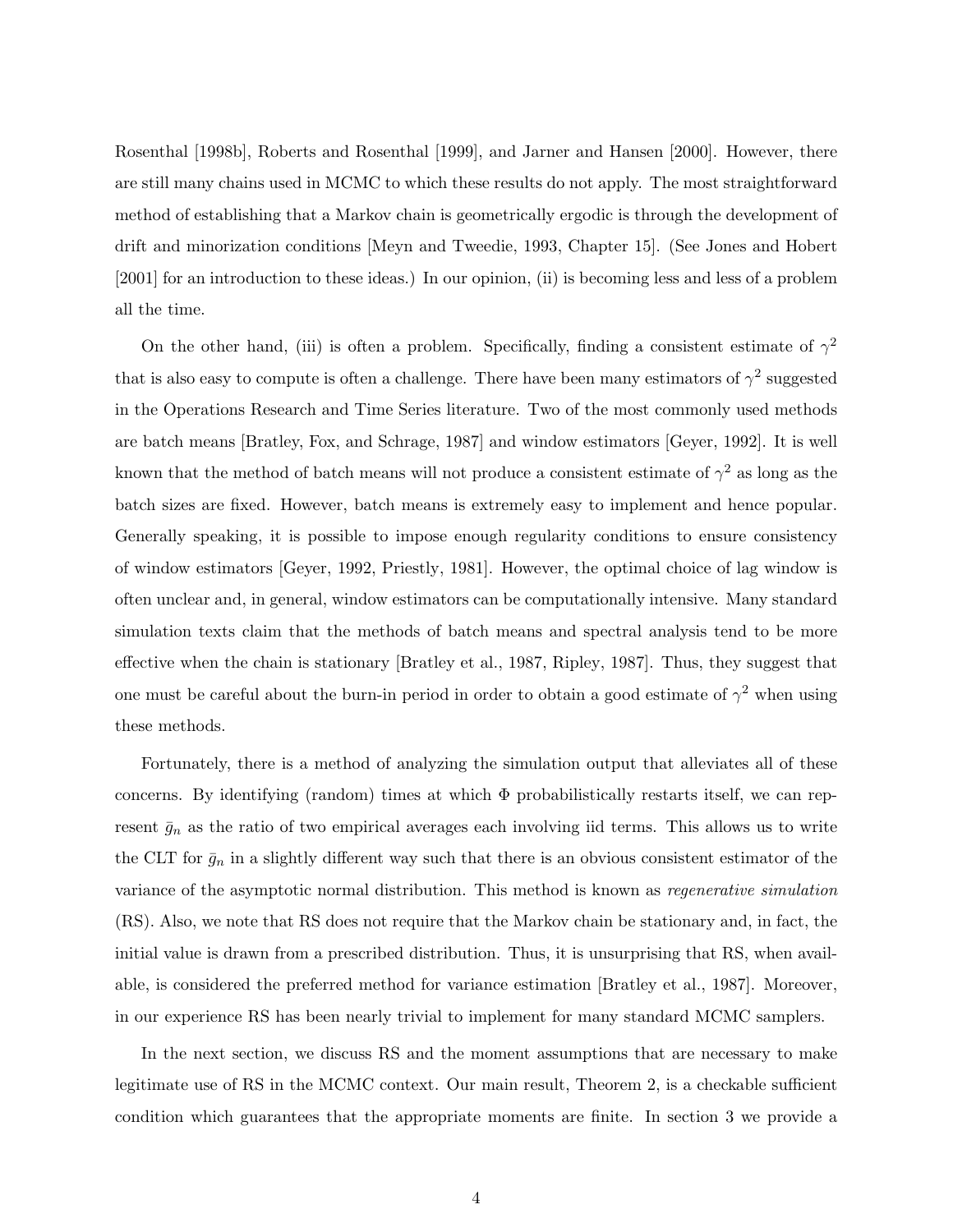Rosenthal [1998b], Roberts and Rosenthal [1999], and Jarner and Hansen [2000]. However, there are still many chains used in MCMC to which these results do not apply. The most straightforward method of establishing that a Markov chain is geometrically ergodic is through the development of drift and minorization conditions [Meyn and Tweedie, 1993, Chapter 15]. (See Jones and Hobert [2001] for an introduction to these ideas.) In our opinion, (ii) is becoming less and less of a problem all the time.

On the other hand, (iii) is often a problem. Specifically, finding a consistent estimate of  $\gamma^2$ that is also easy to compute is often a challenge. There have been many estimators of  $\gamma^2$  suggested in the Operations Research and Time Series literature. Two of the most commonly used methods are batch means [Bratley, Fox, and Schrage, 1987] and window estimators [Geyer, 1992]. It is well known that the method of batch means will not produce a consistent estimate of  $\gamma^2$  as long as the batch sizes are fixed. However, batch means is extremely easy to implement and hence popular. Generally speaking, it is possible to impose enough regularity conditions to ensure consistency of window estimators [Geyer, 1992, Priestly, 1981]. However, the optimal choice of lag window is often unclear and, in general, window estimators can be computationally intensive. Many standard simulation texts claim that the methods of batch means and spectral analysis tend to be more effective when the chain is stationary [Bratley et al., 1987, Ripley, 1987]. Thus, they suggest that one must be careful about the burn-in period in order to obtain a good estimate of  $\gamma^2$  when using these methods.

Fortunately, there is a method of analyzing the simulation output that alleviates all of these concerns. By identifying (random) times at which  $\Phi$  probabilistically restarts itself, we can represent  $\bar{g}_n$  as the ratio of two empirical averages each involving iid terms. This allows us to write the CLT for  $\bar{g}_n$  in a slightly different way such that there is an obvious consistent estimator of the variance of the asymptotic normal distribution. This method is known as regenerative simulation (RS). Also, we note that RS does not require that the Markov chain be stationary and, in fact, the initial value is drawn from a prescribed distribution. Thus, it is unsurprising that RS, when available, is considered the preferred method for variance estimation [Bratley et al., 1987]. Moreover, in our experience RS has been nearly trivial to implement for many standard MCMC samplers.

In the next section, we discuss RS and the moment assumptions that are necessary to make legitimate use of RS in the MCMC context. Our main result, Theorem 2, is a checkable sufficient condition which guarantees that the appropriate moments are finite. In section 3 we provide a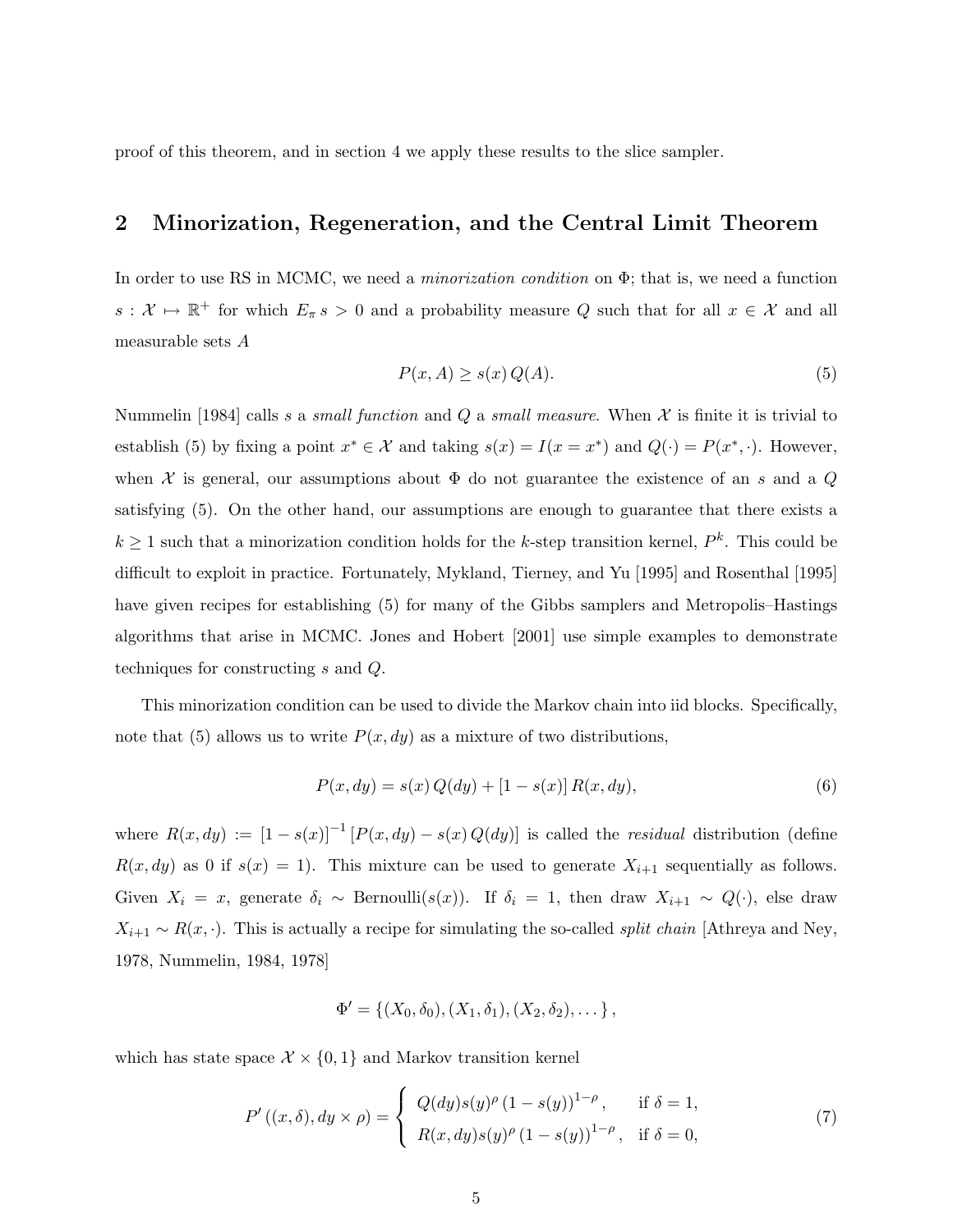proof of this theorem, and in section 4 we apply these results to the slice sampler.

# 2 Minorization, Regeneration, and the Central Limit Theorem

In order to use RS in MCMC, we need a *minorization condition* on  $\Phi$ ; that is, we need a function  $s: \mathcal{X} \mapsto \mathbb{R}^+$  for which  $E_\pi s > 0$  and a probability measure Q such that for all  $x \in \mathcal{X}$  and all measurable sets A

$$
P(x, A) \ge s(x) Q(A). \tag{5}
$$

Nummelin [1984] calls s a small function and Q a small measure. When  $\mathcal X$  is finite it is trivial to establish (5) by fixing a point  $x^* \in \mathcal{X}$  and taking  $s(x) = I(x = x^*)$  and  $Q(\cdot) = P(x^*, \cdot)$ . However, when X is general, our assumptions about  $\Phi$  do not guarantee the existence of an s and a Q satisfying (5). On the other hand, our assumptions are enough to guarantee that there exists a  $k \geq 1$  such that a minorization condition holds for the k-step transition kernel,  $P^k$ . This could be difficult to exploit in practice. Fortunately, Mykland, Tierney, and Yu [1995] and Rosenthal [1995] have given recipes for establishing (5) for many of the Gibbs samplers and Metropolis–Hastings algorithms that arise in MCMC. Jones and Hobert [2001] use simple examples to demonstrate techniques for constructing s and Q.

This minorization condition can be used to divide the Markov chain into iid blocks. Specifically, note that (5) allows us to write  $P(x, dy)$  as a mixture of two distributions,

$$
P(x, dy) = s(x) Q(dy) + [1 - s(x)] R(x, dy),
$$
\n(6)

where  $R(x, dy) := [1 - s(x)]^{-1} [P(x, dy) - s(x) Q(dy)]$  is called the residual distribution (define  $R(x, dy)$  as 0 if  $s(x) = 1$ ). This mixture can be used to generate  $X_{i+1}$  sequentially as follows. Given  $X_i = x$ , generate  $\delta_i \sim \text{Bernoulli}(s(x))$ . If  $\delta_i = 1$ , then draw  $X_{i+1} \sim Q(\cdot)$ , else draw  $X_{i+1} \sim R(x, \cdot)$ . This is actually a recipe for simulating the so-called *split chain* [Athreya and Ney, 1978, Nummelin, 1984, 1978]

$$
\Phi' = \{(X_0, \delta_0), (X_1, \delta_1), (X_2, \delta_2), \dots\},\
$$

which has state space  $\mathcal{X} \times \{0,1\}$  and Markov transition kernel

$$
P'((x,\delta), dy \times \rho) = \begin{cases} Q(dy)s(y)^{\rho} (1-s(y))^{1-\rho}, & \text{if } \delta = 1, \\ R(x, dy)s(y)^{\rho} (1-s(y))^{1-\rho}, & \text{if } \delta = 0, \end{cases}
$$
(7)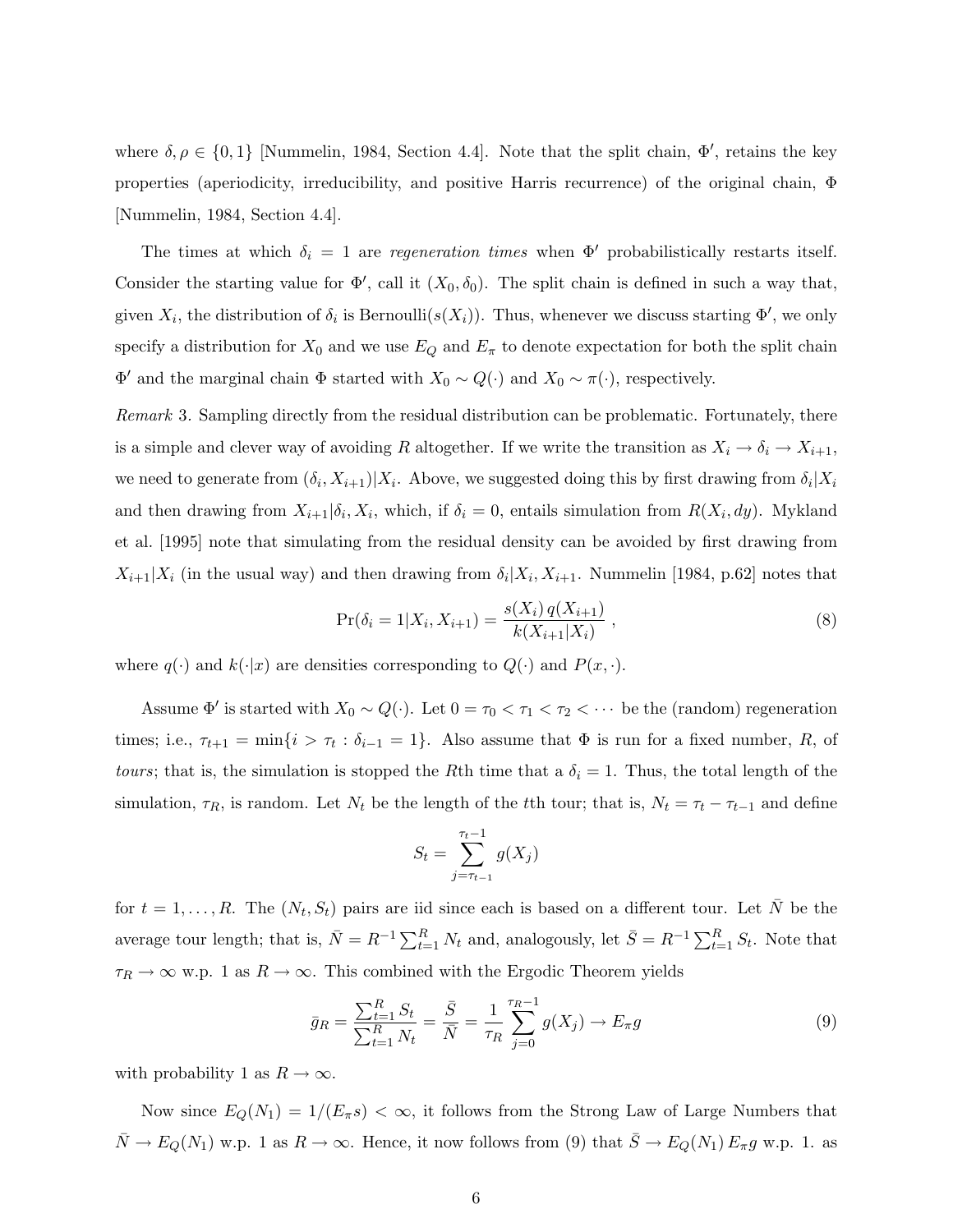where  $\delta, \rho \in \{0, 1\}$  [Nummelin, 1984, Section 4.4]. Note that the split chain,  $\Phi'$ , retains the key properties (aperiodicity, irreducibility, and positive Harris recurrence) of the original chain, Φ [Nummelin, 1984, Section 4.4].

The times at which  $\delta_i = 1$  are regeneration times when  $\Phi'$  probabilistically restarts itself. Consider the starting value for  $\Phi'$ , call it  $(X_0, \delta_0)$ . The split chain is defined in such a way that, given  $X_i$ , the distribution of  $\delta_i$  is Bernoulli $(s(X_i))$ . Thus, whenever we discuss starting  $\Phi'$ , we only specify a distribution for  $X_0$  and we use  $E_Q$  and  $E_\pi$  to denote expectation for both the split chain  $\Phi'$  and the marginal chain  $\Phi$  started with  $X_0 \sim Q(\cdot)$  and  $X_0 \sim \pi(\cdot)$ , respectively.

Remark 3. Sampling directly from the residual distribution can be problematic. Fortunately, there is a simple and clever way of avoiding R altogether. If we write the transition as  $X_i \to \delta_i \to X_{i+1}$ , we need to generate from  $(\delta_i, X_{i+1})|X_i$ . Above, we suggested doing this by first drawing from  $\delta_i|X_i$ and then drawing from  $X_{i+1}|\delta_i, X_i$ , which, if  $\delta_i = 0$ , entails simulation from  $R(X_i, dy)$ . Mykland et al. [1995] note that simulating from the residual density can be avoided by first drawing from  $X_{i+1}|X_i$  (in the usual way) and then drawing from  $\delta_i|X_i, X_{i+1}$ . Nummelin [1984, p.62] notes that

$$
Pr(\delta_i = 1 | X_i, X_{i+1}) = \frac{s(X_i) q(X_{i+1})}{k(X_{i+1} | X_i)},
$$
\n(8)

where  $q(\cdot)$  and  $k(\cdot|x)$  are densities corresponding to  $Q(\cdot)$  and  $P(x, \cdot)$ .

Assume  $\Phi'$  is started with  $X_0 \sim Q(\cdot)$ . Let  $0 = \tau_0 < \tau_1 < \tau_2 < \cdots$  be the (random) regeneration times; i.e.,  $\tau_{t+1} = \min\{i > \tau_t : \delta_{i-1} = 1\}$ . Also assume that  $\Phi$  is run for a fixed number, R, of *tours*; that is, the simulation is stopped the Rth time that a  $\delta_i = 1$ . Thus, the total length of the simulation,  $\tau_R$ , is random. Let  $N_t$  be the length of the tth tour; that is,  $N_t = \tau_t - \tau_{t-1}$  and define

$$
S_t = \sum_{j=\tau_{t-1}}^{\tau_t-1} g(X_j)
$$

for  $t = 1, \ldots, R$ . The  $(N_t, S_t)$  pairs are iid since each is based on a different tour. Let  $\overline{N}$  be the average tour length; that is,  $\bar{N} = R^{-1} \sum_{t=1}^{R} N_t$  and, analogously, let  $\bar{S} = R^{-1} \sum_{t=1}^{R} S_t$ . Note that  $\tau_R \to \infty$  w.p. 1 as  $R \to \infty$ . This combined with the Ergodic Theorem yields

$$
\bar{g}_R = \frac{\sum_{t=1}^R S_t}{\sum_{t=1}^R N_t} = \frac{\bar{S}}{\bar{N}} = \frac{1}{\tau_R} \sum_{j=0}^{\tau_R - 1} g(X_j) \to E_{\pi} g \tag{9}
$$

with probability 1 as  $R \to \infty$ .

Now since  $E_Q(N_1) = 1/(E_\pi s) < \infty$ , it follows from the Strong Law of Large Numbers that  $\overline{N} \to E_Q(N_1)$  w.p. 1 as  $R \to \infty$ . Hence, it now follows from (9) that  $\overline{S} \to E_Q(N_1) E_{\pi} g$  w.p. 1. as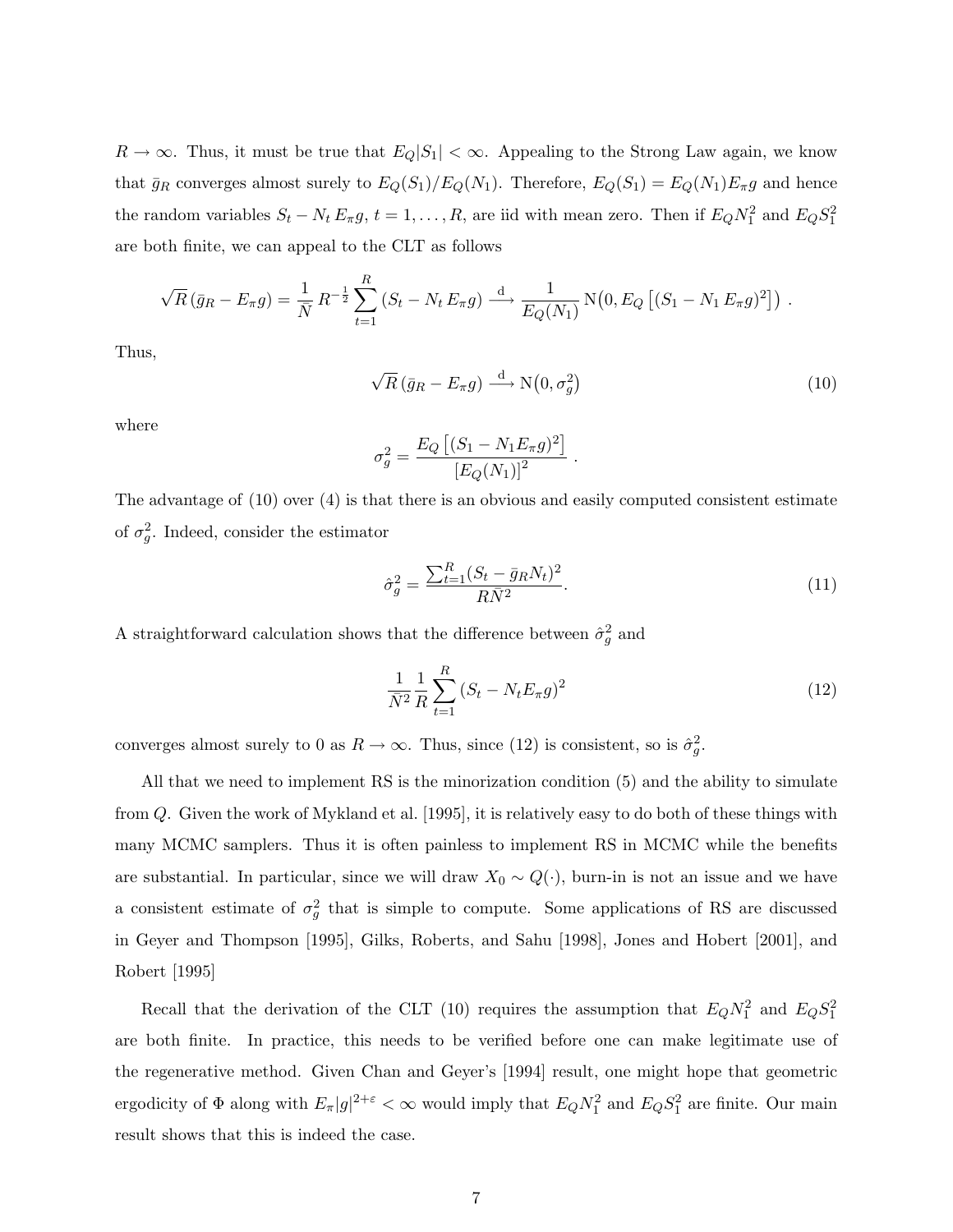$R \to \infty$ . Thus, it must be true that  $E_Q|S_1| < \infty$ . Appealing to the Strong Law again, we know that  $\bar{g}_R$  converges almost surely to  $E_Q(S_1)/E_Q(N_1)$ . Therefore,  $E_Q(S_1) = E_Q(N_1)E_{\pi}g$  and hence the random variables  $S_t - N_t E_{\pi} g$ ,  $t = 1, ..., R$ , are iid with mean zero. Then if  $E_Q N_1^2$  and  $E_Q S_1^2$ are both finite, we can appeal to the CLT as follows

$$
\sqrt{R} (\bar{g}_R - E_{\pi} g) = \frac{1}{\bar{N}} R^{-\frac{1}{2}} \sum_{t=1}^R (S_t - N_t E_{\pi} g) \stackrel{d}{\longrightarrow} \frac{1}{E_Q(N_1)} N(0, E_Q [(S_1 - N_1 E_{\pi} g)^2]).
$$

Thus,

$$
\sqrt{R} \left( \bar{g}_R - E_\pi g \right) \stackrel{\text{d}}{\longrightarrow} \mathcal{N} \left( 0, \sigma_g^2 \right) \tag{10}
$$

.

where

$$
\sigma_g^2 = \frac{E_Q [(S_1 - N_1 E_\pi g)^2]}{[E_Q(N_1)]^2}
$$

The advantage of (10) over (4) is that there is an obvious and easily computed consistent estimate of  $\sigma_g^2$ . Indeed, consider the estimator

$$
\hat{\sigma}_g^2 = \frac{\sum_{t=1}^R (S_t - \bar{g}_R N_t)^2}{R\bar{N}^2}.
$$
\n(11)

A straightforward calculation shows that the difference between  $\hat{\sigma}_g^2$  and

$$
\frac{1}{\bar{N}^2} \frac{1}{R} \sum_{t=1}^R (S_t - N_t E_\pi g)^2
$$
\n(12)

converges almost surely to 0 as  $R \to \infty$ . Thus, since (12) is consistent, so is  $\hat{\sigma}_g^2$ .

All that we need to implement RS is the minorization condition (5) and the ability to simulate from Q. Given the work of Mykland et al. [1995], it is relatively easy to do both of these things with many MCMC samplers. Thus it is often painless to implement RS in MCMC while the benefits are substantial. In particular, since we will draw  $X_0 \sim Q(\cdot)$ , burn-in is not an issue and we have a consistent estimate of  $\sigma_g^2$  that is simple to compute. Some applications of RS are discussed in Geyer and Thompson [1995], Gilks, Roberts, and Sahu [1998], Jones and Hobert [2001], and Robert [1995]

Recall that the derivation of the CLT (10) requires the assumption that  $E_Q N_1^2$  and  $E_Q S_1^2$ are both finite. In practice, this needs to be verified before one can make legitimate use of the regenerative method. Given Chan and Geyer's [1994] result, one might hope that geometric ergodicity of  $\Phi$  along with  $E_{\pi}|g|^{2+\varepsilon} < \infty$  would imply that  $E_Q N_1^2$  and  $E_Q S_1^2$  are finite. Our main result shows that this is indeed the case.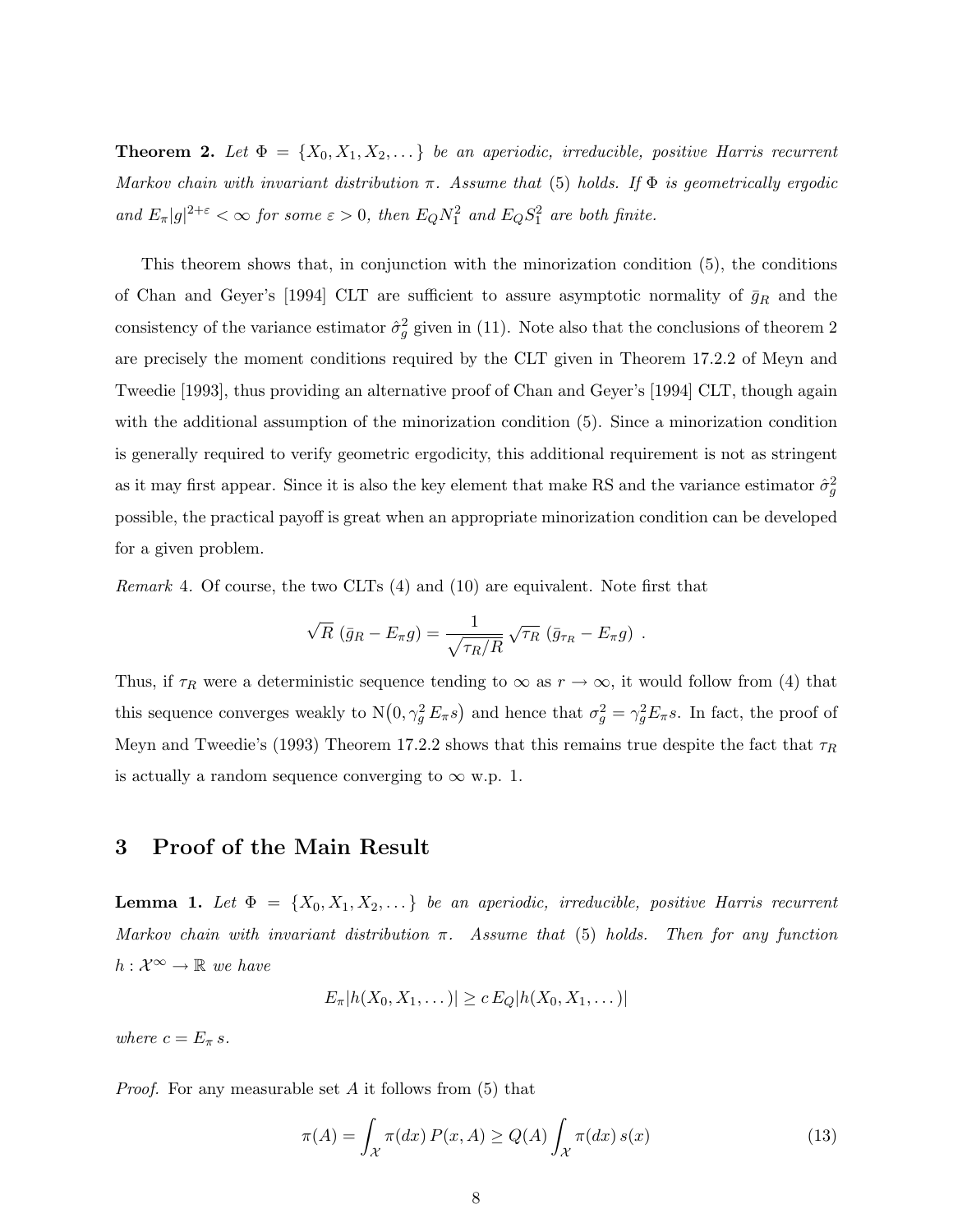**Theorem 2.** Let  $\Phi = \{X_0, X_1, X_2, \dots\}$  be an aperiodic, irreducible, positive Harris recurrent Markov chain with invariant distribution  $\pi$ . Assume that (5) holds. If  $\Phi$  is geometrically ergodic and  $E_{\pi}|g|^{2+\varepsilon} < \infty$  for some  $\varepsilon > 0$ , then  $E_Q N_1^2$  and  $E_Q S_1^2$  are both finite.

This theorem shows that, in conjunction with the minorization condition (5), the conditions of Chan and Geyer's [1994] CLT are sufficient to assure asymptotic normality of  $\bar{g}_R$  and the consistency of the variance estimator  $\hat{\sigma}_g^2$  given in (11). Note also that the conclusions of theorem 2 are precisely the moment conditions required by the CLT given in Theorem 17.2.2 of Meyn and Tweedie [1993], thus providing an alternative proof of Chan and Geyer's [1994] CLT, though again with the additional assumption of the minorization condition (5). Since a minorization condition is generally required to verify geometric ergodicity, this additional requirement is not as stringent as it may first appear. Since it is also the key element that make RS and the variance estimator  $\hat{\sigma}_g^2$ possible, the practical payoff is great when an appropriate minorization condition can be developed for a given problem.

Remark 4. Of course, the two CLTs (4) and (10) are equivalent. Note first that

$$
\sqrt{R} \left( \bar{g}_R - E_\pi g \right) = \frac{1}{\sqrt{\tau_R/R}} \sqrt{\tau_R} \left( \bar{g}_{\tau_R} - E_\pi g \right) .
$$

Thus, if  $\tau_R$  were a deterministic sequence tending to  $\infty$  as  $r \to \infty$ , it would follow from (4) that this sequence converges weakly to  $N(0, \gamma_g^2 E_\pi s)$  and hence that  $\sigma_g^2 = \gamma_g^2 E_\pi s$ . In fact, the proof of Meyn and Tweedie's (1993) Theorem 17.2.2 shows that this remains true despite the fact that  $\tau_R$ is actually a random sequence converging to  $\infty$  w.p. 1.

# 3 Proof of the Main Result

**Lemma 1.** Let  $\Phi = \{X_0, X_1, X_2, \ldots\}$  be an aperiodic, irreducible, positive Harris recurrent Markov chain with invariant distribution  $\pi$ . Assume that (5) holds. Then for any function  $h: \mathcal{X}^{\infty} \to \mathbb{R}$  we have

$$
E_{\pi}|h(X_0,X_1,\dots)| \ge c E_Q|h(X_0,X_1,\dots)|
$$

where  $c = E_{\pi} s$ .

*Proof.* For any measurable set  $A$  it follows from (5) that

$$
\pi(A) = \int_{\mathcal{X}} \pi(dx) P(x, A) \ge Q(A) \int_{\mathcal{X}} \pi(dx) s(x)
$$
\n(13)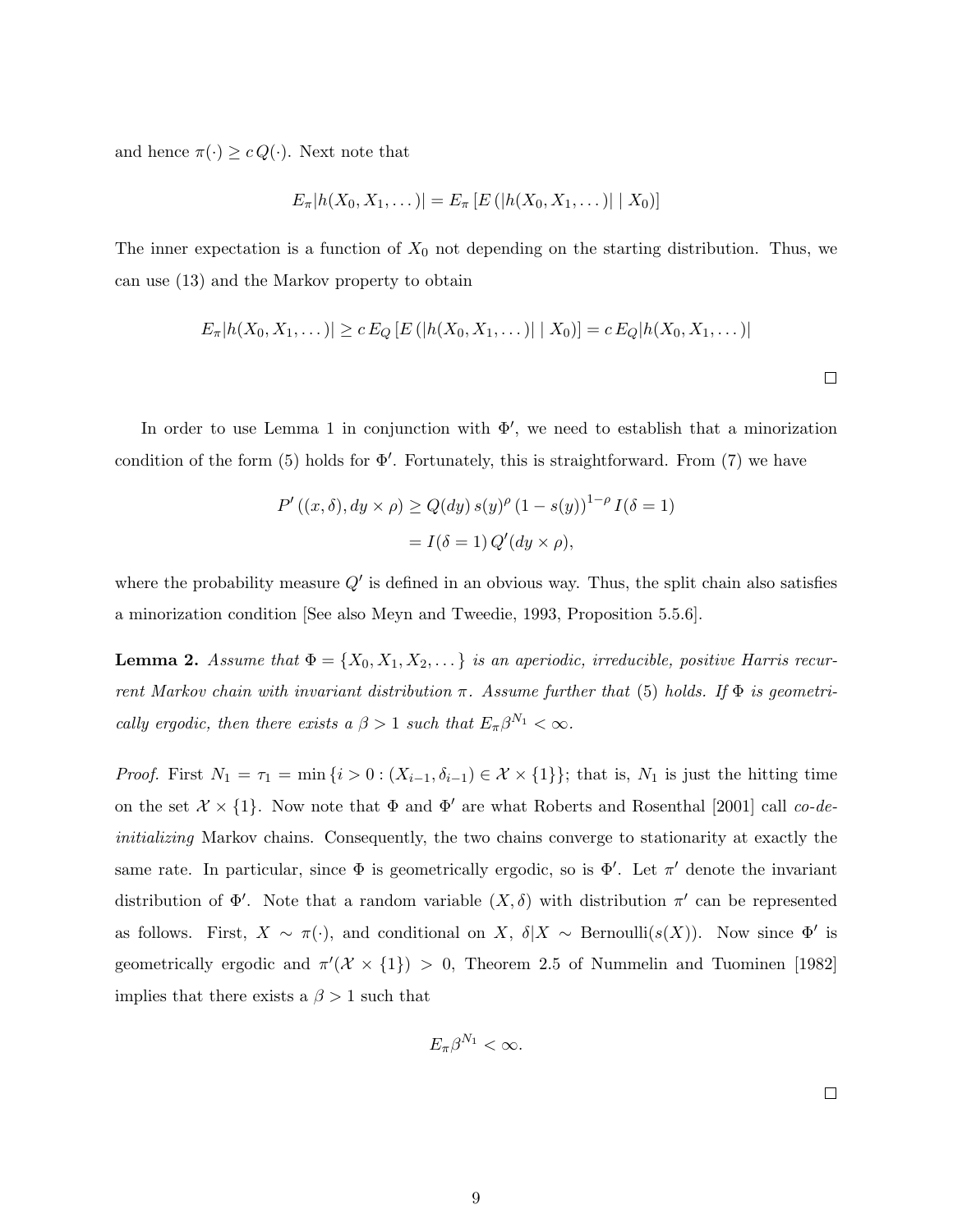and hence  $\pi(\cdot) \geq c Q(\cdot)$ . Next note that

$$
E_{\pi}|h(X_0, X_1, \dots)| = E_{\pi}[E(|h(X_0, X_1, \dots)| | X_0)]
$$

The inner expectation is a function of  $X_0$  not depending on the starting distribution. Thus, we can use (13) and the Markov property to obtain

$$
E_{\pi}[h(X_0, X_1, \dots)] \ge c E_Q [E (|h(X_0, X_1, \dots)| | X_0)] = c E_Q |h(X_0, X_1, \dots)|
$$

In order to use Lemma 1 in conjunction with  $\Phi'$ , we need to establish that a minorization condition of the form  $(5)$  holds for  $\Phi'$ . Fortunately, this is straightforward. From  $(7)$  we have

$$
P'((x, \delta), dy \times \rho) \ge Q(dy) s(y)^{\rho} (1 - s(y))^{1-\rho} I(\delta = 1)
$$

$$
= I(\delta = 1) Q'(dy \times \rho),
$$

where the probability measure  $Q'$  is defined in an obvious way. Thus, the split chain also satisfies a minorization condition [See also Meyn and Tweedie, 1993, Proposition 5.5.6].

**Lemma 2.** Assume that  $\Phi = \{X_0, X_1, X_2, \dots\}$  is an aperiodic, irreducible, positive Harris recurrent Markov chain with invariant distribution  $\pi$ . Assume further that (5) holds. If  $\Phi$  is geometrically ergodic, then there exists a  $\beta > 1$  such that  $E_{\pi} \beta^{N_1} < \infty$ .

*Proof.* First  $N_1 = \tau_1 = \min\{i > 0 : (X_{i-1}, \delta_{i-1}) \in \mathcal{X} \times \{1\}\}$ ; that is,  $N_1$  is just the hitting time on the set  $\mathcal{X} \times \{1\}$ . Now note that  $\Phi$  and  $\Phi'$  are what Roberts and Rosenthal [2001] call co-deinitializing Markov chains. Consequently, the two chains converge to stationarity at exactly the same rate. In particular, since  $\Phi$  is geometrically ergodic, so is  $\Phi'$ . Let  $\pi'$  denote the invariant distribution of  $\Phi'$ . Note that a random variable  $(X, \delta)$  with distribution  $\pi'$  can be represented as follows. First,  $X \sim \pi(\cdot)$ , and conditional on  $X$ ,  $\delta | X \sim \text{Bernoulli}(s(X))$ . Now since  $\Phi'$  is geometrically ergodic and  $\pi'(\mathcal{X} \times \{1\}) > 0$ , Theorem 2.5 of Nummelin and Tuominen [1982] implies that there exists a  $\beta > 1$  such that

$$
E_{\pi}\beta^{N_1} < \infty.
$$

 $\Box$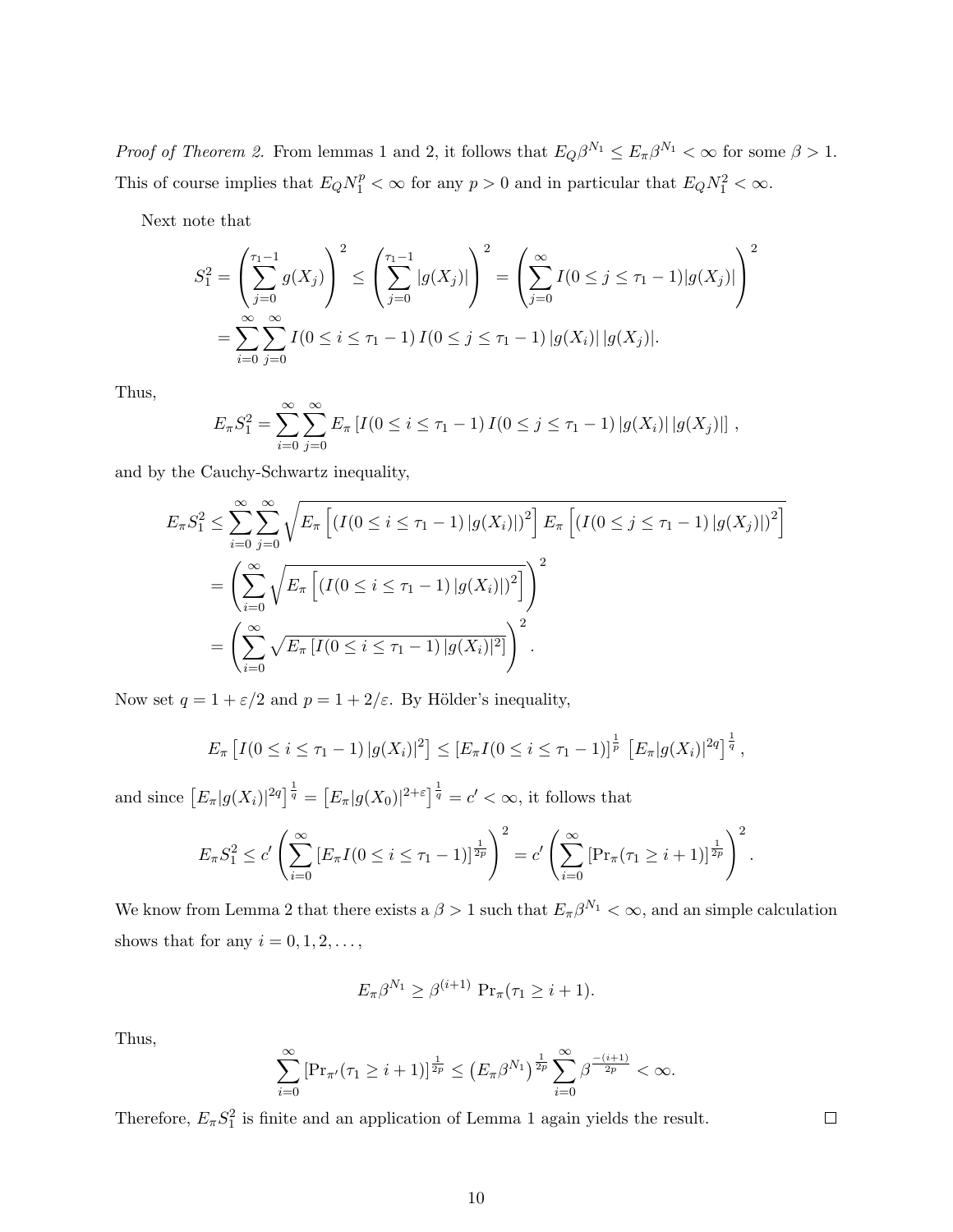*Proof of Theorem 2.* From lemmas 1 and 2, it follows that  $E_Q\beta^{N_1} \le E_{\pi}\beta^{N_1} < \infty$  for some  $\beta > 1$ . This of course implies that  $E_Q N_1^p < \infty$  for any  $p > 0$  and in particular that  $E_Q N_1^2 < \infty$ .

Next note that

$$
S_1^2 = \left(\sum_{j=0}^{\tau_1-1} g(X_j)\right)^2 \le \left(\sum_{j=0}^{\tau_1-1} |g(X_j)|\right)^2 = \left(\sum_{j=0}^{\infty} I(0 \le j \le \tau_1-1)|g(X_j)|\right)^2
$$
  
= 
$$
\sum_{i=0}^{\infty} \sum_{j=0}^{\infty} I(0 \le i \le \tau_1-1) I(0 \le j \le \tau_1-1)|g(X_i)||g(X_j)|.
$$

Thus,

$$
E_{\pi} S_1^2 = \sum_{i=0}^{\infty} \sum_{j=0}^{\infty} E_{\pi} [I(0 \le i \le \tau_1 - 1) I(0 \le j \le \tau_1 - 1) |g(X_i)| |g(X_j)|],
$$

and by the Cauchy-Schwartz inequality,

$$
E_{\pi} S_1^2 \le \sum_{i=0}^{\infty} \sum_{j=0}^{\infty} \sqrt{E_{\pi} \left[ \left( I(0 \le i \le \tau_1 - 1) |g(X_i)| \right)^2 \right] E_{\pi} \left[ \left( I(0 \le j \le \tau_1 - 1) |g(X_j)| \right)^2 \right]} \\
= \left( \sum_{i=0}^{\infty} \sqrt{E_{\pi} \left[ \left( I(0 \le i \le \tau_1 - 1) |g(X_i)| \right)^2 \right]} \right)^2 \\
= \left( \sum_{i=0}^{\infty} \sqrt{E_{\pi} \left[ I(0 \le i \le \tau_1 - 1) |g(X_i)|^2 \right]} \right)^2.
$$

Now set  $q = 1 + \varepsilon/2$  and  $p = 1 + 2/\varepsilon$ . By Hölder's inequality,

$$
E_{\pi}\left[I(0 \leq i \leq \tau_1 - 1) |g(X_i)|^2\right] \leq \left[E_{\pi}I(0 \leq i \leq \tau_1 - 1)\right]^{\frac{1}{p}}\left[E_{\pi}|g(X_i)|^{2q}\right]^{\frac{1}{q}},
$$

and since  $\left[E_{\pi}|g(X_i)|^{2q}\right]^{\frac{1}{q}} = \left[E_{\pi}|g(X_0)|^{2+\varepsilon}\right]^{\frac{1}{q}} = c' < \infty$ , it follows that

$$
E_{\pi} S_1^2 \le c' \left( \sum_{i=0}^{\infty} \left[ E_{\pi} I(0 \le i \le \tau_1 - 1) \right]^{\frac{1}{2p}} \right)^2 = c' \left( \sum_{i=0}^{\infty} \left[ \Pr_{\pi} (\tau_1 \ge i + 1) \right]^{\frac{1}{2p}} \right)^2.
$$

We know from Lemma 2 that there exists a  $\beta > 1$  such that  $E_{\pi} \beta^{N_1} < \infty$ , and an simple calculation shows that for any  $i = 0, 1, 2, \ldots$ ,

$$
E_{\pi}\beta^{N_1} \geq \beta^{(i+1)} \operatorname{Pr}_{\pi}(\tau_1 \geq i+1).
$$

Thus,

$$
\sum_{i=0}^{\infty} \left[ \Pr_{\pi'}(\tau_1 \geq i+1) \right]^{\frac{1}{2p}} \leq \left( E_{\pi} \beta^{N_1} \right)^{\frac{1}{2p}} \sum_{i=0}^{\infty} \beta^{\frac{-(i+1)}{2p}} < \infty.
$$

Therefore,  $E_{\pi}S_1^2$  is finite and an application of Lemma 1 again yields the result.

 $\Box$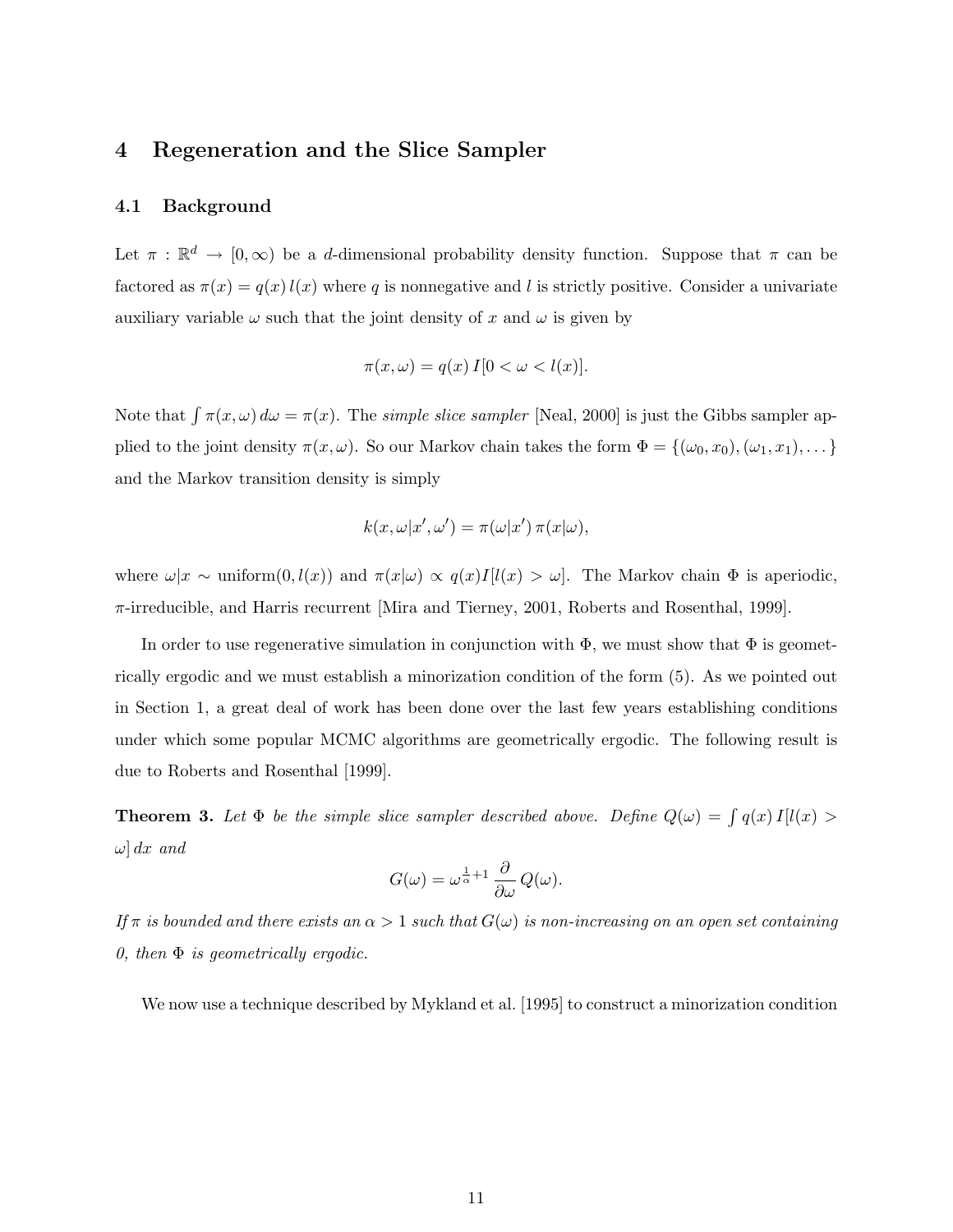## 4 Regeneration and the Slice Sampler

#### 4.1 Background

Let  $\pi : \mathbb{R}^d \to [0, \infty)$  be a d-dimensional probability density function. Suppose that  $\pi$  can be factored as  $\pi(x) = q(x) l(x)$  where q is nonnegative and l is strictly positive. Consider a univariate auxiliary variable  $\omega$  such that the joint density of x and  $\omega$  is given by

$$
\pi(x,\omega) = q(x) I[0 < \omega < l(x)].
$$

Note that  $\int \pi(x,\omega) d\omega = \pi(x)$ . The simple slice sampler [Neal, 2000] is just the Gibbs sampler applied to the joint density  $\pi(x,\omega)$ . So our Markov chain takes the form  $\Phi = \{(\omega_0, x_0), (\omega_1, x_1), \dots\}$ and the Markov transition density is simply

$$
k(x, \omega | x', \omega') = \pi(\omega | x') \, \pi(x | \omega),
$$

where  $\omega|x \sim \text{uniform}(0, l(x))$  and  $\pi(x|\omega) \propto q(x)I[l(x) > \omega]$ . The Markov chain  $\Phi$  is aperiodic, π-irreducible, and Harris recurrent [Mira and Tierney, 2001, Roberts and Rosenthal, 1999].

In order to use regenerative simulation in conjunction with  $\Phi$ , we must show that  $\Phi$  is geometrically ergodic and we must establish a minorization condition of the form (5). As we pointed out in Section 1, a great deal of work has been done over the last few years establishing conditions under which some popular MCMC algorithms are geometrically ergodic. The following result is due to Roberts and Rosenthal [1999].

**Theorem 3.** Let  $\Phi$  be the simple slice sampler described above. Define  $Q(\omega) = \int q(x) I(l(x))$  $\omega$  dx and

$$
G(\omega)=\omega^{\frac{1}{\alpha}+1}\,\frac{\partial}{\partial\omega}\,Q(\omega).
$$

If  $\pi$  is bounded and there exists an  $\alpha > 1$  such that  $G(\omega)$  is non-increasing on an open set containing 0, then  $\Phi$  is geometrically ergodic.

We now use a technique described by Mykland et al. [1995] to construct a minorization condition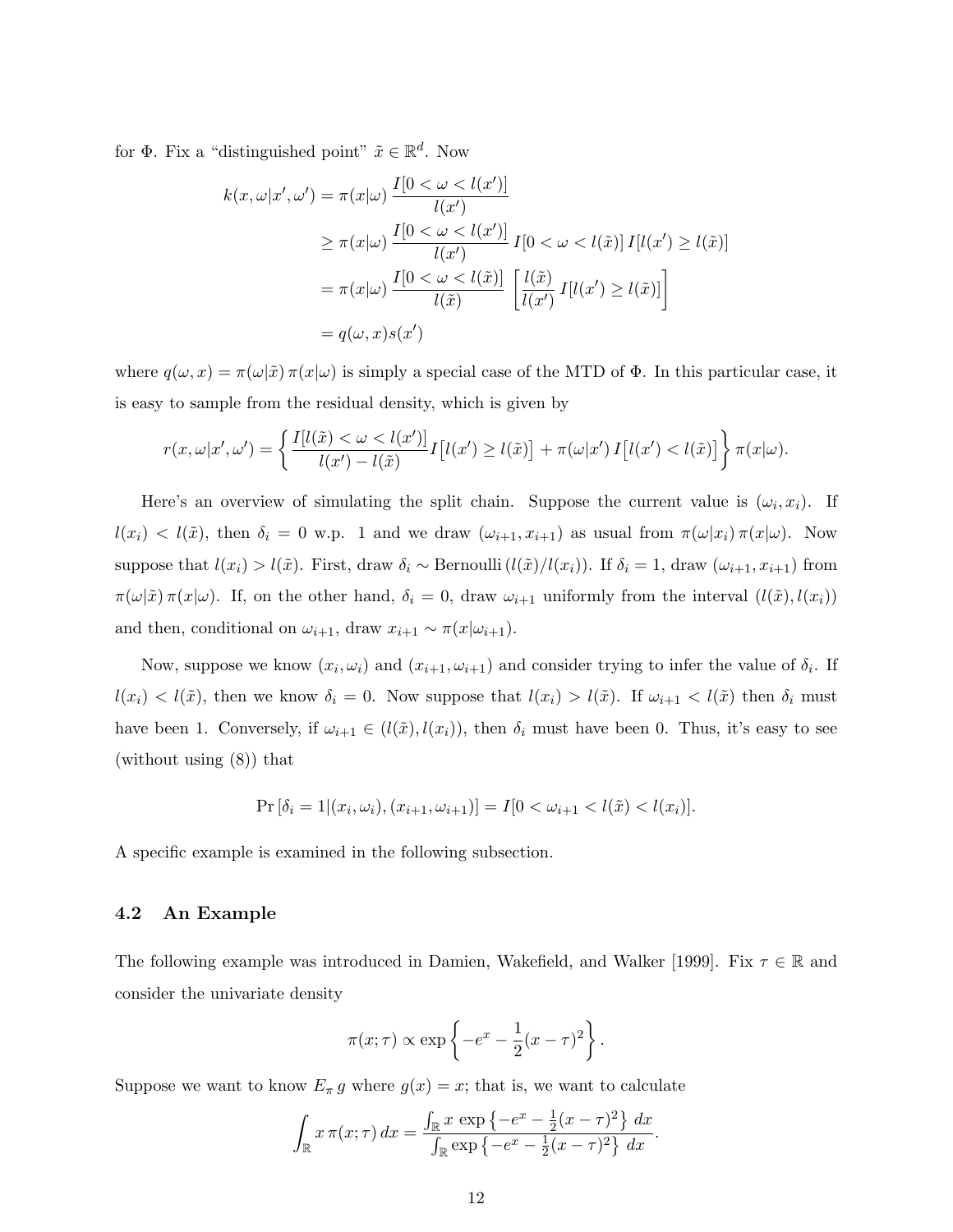for  $\Phi$ . Fix a "distinguished point"  $\tilde{x} \in \mathbb{R}^d$ . Now

$$
k(x, \omega | x', \omega') = \pi(x | \omega) \frac{I[0 < \omega < l(x')] }{l(x')}
$$
  
\n
$$
\geq \pi(x | \omega) \frac{I[0 < \omega < l(x')] }{l(x')} I[0 < \omega < l(\tilde{x})] I[l(x') \geq l(\tilde{x})]
$$
  
\n
$$
= \pi(x | \omega) \frac{I[0 < \omega < l(\tilde{x})]}{l(\tilde{x})} \left[ \frac{l(\tilde{x})}{l(x')} I[l(x') \geq l(\tilde{x})] \right]
$$
  
\n
$$
= q(\omega, x) s(x')
$$

where  $q(\omega, x) = \pi(\omega|\tilde{x}) \pi(x|\omega)$  is simply a special case of the MTD of  $\Phi$ . In this particular case, it is easy to sample from the residual density, which is given by

$$
r(x,\omega|x',\omega') = \left\{ \frac{I[l(\tilde{x}) < \omega < l(x')] }{l(x') - l(\tilde{x})} I[l(x') \ge l(\tilde{x})] + \pi(\omega|x') I[l(x') < l(\tilde{x})] \right\} \pi(x|\omega).
$$

Here's an overview of simulating the split chain. Suppose the current value is  $(\omega_i, x_i)$ . If  $l(x_i) < l(\tilde{x})$ , then  $\delta_i = 0$  w.p. 1 and we draw  $(\omega_{i+1}, x_{i+1})$  as usual from  $\pi(\omega|x_i) \pi(x|\omega)$ . Now suppose that  $l(x_i) > l(\tilde{x})$ . First, draw  $\delta_i \sim \text{Bernoulli}\left(l(\tilde{x})/l(x_i)\right)$ . If  $\delta_i = 1$ , draw  $(\omega_{i+1}, x_{i+1})$  from  $\pi(\omega|\tilde{x})\pi(x|\omega)$ . If, on the other hand,  $\delta_i = 0$ , draw  $\omega_{i+1}$  uniformly from the interval  $(l(\tilde{x}), l(x_i))$ and then, conditional on  $\omega_{i+1}$ , draw  $x_{i+1} \sim \pi(x|\omega_{i+1})$ .

Now, suppose we know  $(x_i, \omega_i)$  and  $(x_{i+1}, \omega_{i+1})$  and consider trying to infer the value of  $\delta_i$ . If  $l(x_i) < l(\tilde{x})$ , then we know  $\delta_i = 0$ . Now suppose that  $l(x_i) > l(\tilde{x})$ . If  $\omega_{i+1} < l(\tilde{x})$  then  $\delta_i$  must have been 1. Conversely, if  $\omega_{i+1} \in (l(\tilde{x}), l(x_i))$ , then  $\delta_i$  must have been 0. Thus, it's easy to see (without using (8)) that

$$
\Pr\left[\delta_i=1 | (x_i,\omega_i), (x_{i+1},\omega_{i+1})\right] = I[0 < \omega_{i+1} < l(\tilde{x}) < l(x_i)].
$$

A specific example is examined in the following subsection.

#### 4.2 An Example

The following example was introduced in Damien, Wakefield, and Walker [1999]. Fix  $\tau \in \mathbb{R}$  and consider the univariate density

$$
\pi(x;\tau) \propto \exp\left\{-e^x - \frac{1}{2}(x-\tau)^2\right\}.
$$

Suppose we want to know  $E_{\pi} g$  where  $g(x) = x$ ; that is, we want to calculate

$$
\int_{\mathbb{R}} x \, \pi(x;\tau) \, dx = \frac{\int_{\mathbb{R}} x \, \exp \left\{-e^x - \frac{1}{2}(x-\tau)^2\right\} \, dx}{\int_{\mathbb{R}} \exp \left\{-e^x - \frac{1}{2}(x-\tau)^2\right\} \, dx}.
$$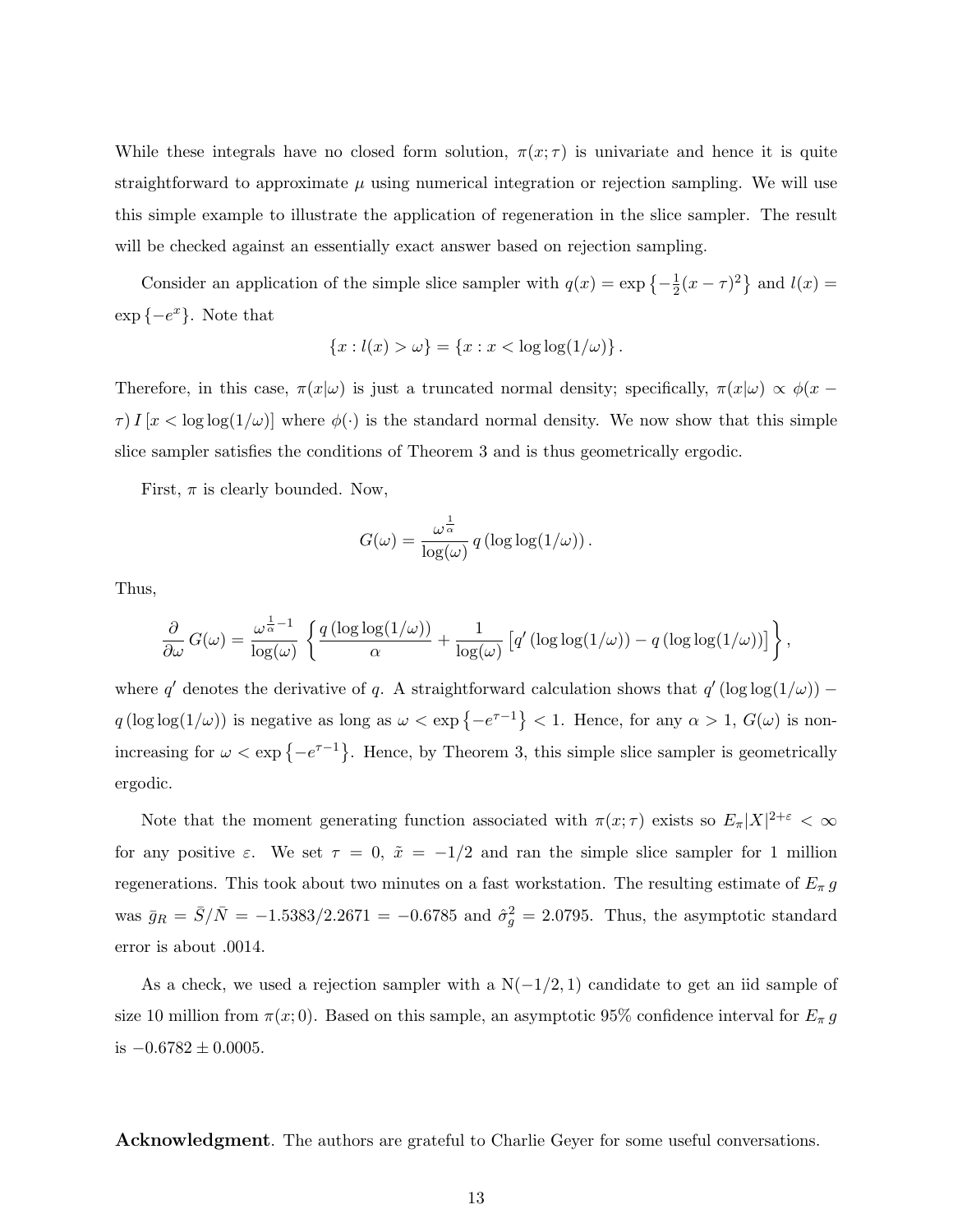While these integrals have no closed form solution,  $\pi(x; \tau)$  is univariate and hence it is quite straightforward to approximate  $\mu$  using numerical integration or rejection sampling. We will use this simple example to illustrate the application of regeneration in the slice sampler. The result will be checked against an essentially exact answer based on rejection sampling.

Consider an application of the simple slice sampler with  $q(x) = \exp\left\{-\frac{1}{2}\right\}$  $\frac{1}{2}(x-\tau)^2$  and  $l(x) =$  $\exp\{-e^x\}$ . Note that

$$
\{x: l(x) > \omega\} = \{x : x < \log \log(1/\omega)\}.
$$

Therefore, in this case,  $\pi(x|\omega)$  is just a truncated normal density; specifically,  $\pi(x|\omega) \propto \phi(x-\omega)$  $\tau$ )  $I[x < log log(1/\omega)]$  where  $\phi(\cdot)$  is the standard normal density. We now show that this simple slice sampler satisfies the conditions of Theorem 3 and is thus geometrically ergodic.

First,  $\pi$  is clearly bounded. Now,

$$
G(\omega) = \frac{\omega^{\frac{1}{\alpha}}}{\log(\omega)} q(\log \log(1/\omega)).
$$

Thus,

$$
\frac{\partial}{\partial \omega} G(\omega) = \frac{\omega^{\frac{1}{\alpha}-1}}{\log(\omega)} \left\{ \frac{q(\log \log(1/\omega))}{\alpha} + \frac{1}{\log(\omega)} \left[ q'(\log \log(1/\omega)) - q(\log \log(1/\omega)) \right] \right\},\
$$

where q' denotes the derivative of q. A straightforward calculation shows that  $q'(\log \log(1/\omega))$  –  $q(\log \log(1/\omega))$  is negative as long as  $\omega < \exp\{-e^{\tau-1}\} < 1$ . Hence, for any  $\alpha > 1$ ,  $G(\omega)$  is nonincreasing for  $\omega < \exp\{-e^{\tau-1}\}\$ . Hence, by Theorem 3, this simple slice sampler is geometrically ergodic.

Note that the moment generating function associated with  $\pi(x; \tau)$  exists so  $E_{\pi}|X|^{2+\varepsilon} < \infty$ for any positive  $\varepsilon$ . We set  $\tau = 0$ ,  $\tilde{x} = -1/2$  and ran the simple slice sampler for 1 million regenerations. This took about two minutes on a fast workstation. The resulting estimate of  $E_{\pi} g$ was  $\bar{g}_R = \bar{S}/\bar{N} = -1.5383/2.2671 = -0.6785$  and  $\hat{\sigma}_g^2 = 2.0795$ . Thus, the asymptotic standard error is about .0014.

As a check, we used a rejection sampler with a  $N(-1/2, 1)$  candidate to get an iid sample of size 10 million from  $\pi(x; 0)$ . Based on this sample, an asymptotic 95% confidence interval for  $E_{\pi} g$ is  $-0.6782 \pm 0.0005$ .

Acknowledgment. The authors are grateful to Charlie Geyer for some useful conversations.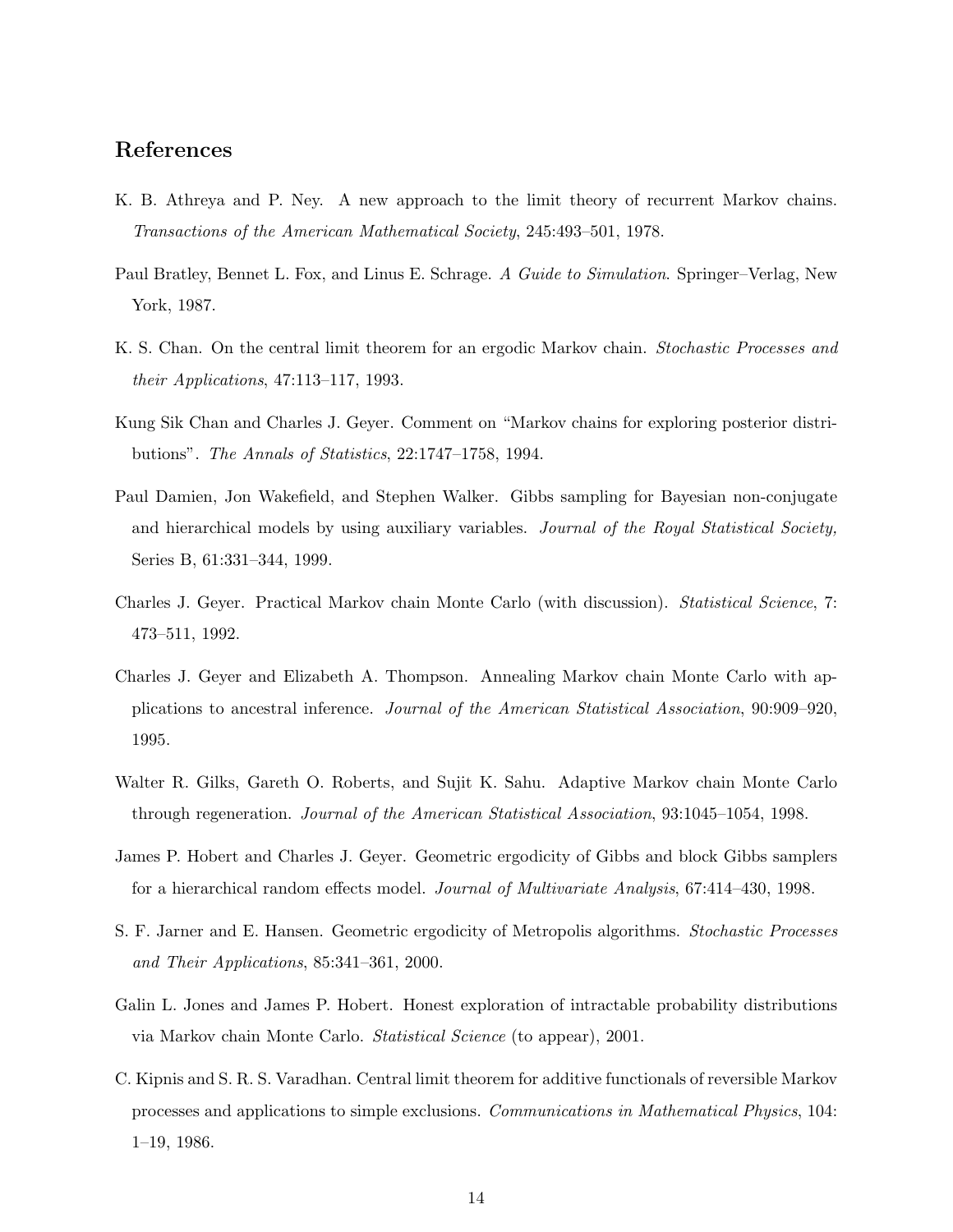# References

- K. B. Athreya and P. Ney. A new approach to the limit theory of recurrent Markov chains. Transactions of the American Mathematical Society, 245:493–501, 1978.
- Paul Bratley, Bennet L. Fox, and Linus E. Schrage. A Guide to Simulation. Springer–Verlag, New York, 1987.
- K. S. Chan. On the central limit theorem for an ergodic Markov chain. Stochastic Processes and their Applications, 47:113–117, 1993.
- Kung Sik Chan and Charles J. Geyer. Comment on "Markov chains for exploring posterior distributions". The Annals of Statistics, 22:1747–1758, 1994.
- Paul Damien, Jon Wakefield, and Stephen Walker. Gibbs sampling for Bayesian non-conjugate and hierarchical models by using auxiliary variables. Journal of the Royal Statistical Society, Series B, 61:331–344, 1999.
- Charles J. Geyer. Practical Markov chain Monte Carlo (with discussion). Statistical Science, 7: 473–511, 1992.
- Charles J. Geyer and Elizabeth A. Thompson. Annealing Markov chain Monte Carlo with applications to ancestral inference. Journal of the American Statistical Association, 90:909–920, 1995.
- Walter R. Gilks, Gareth O. Roberts, and Sujit K. Sahu. Adaptive Markov chain Monte Carlo through regeneration. Journal of the American Statistical Association, 93:1045–1054, 1998.
- James P. Hobert and Charles J. Geyer. Geometric ergodicity of Gibbs and block Gibbs samplers for a hierarchical random effects model. Journal of Multivariate Analysis, 67:414–430, 1998.
- S. F. Jarner and E. Hansen. Geometric ergodicity of Metropolis algorithms. *Stochastic Processes* and Their Applications, 85:341–361, 2000.
- Galin L. Jones and James P. Hobert. Honest exploration of intractable probability distributions via Markov chain Monte Carlo. Statistical Science (to appear), 2001.
- C. Kipnis and S. R. S. Varadhan. Central limit theorem for additive functionals of reversible Markov processes and applications to simple exclusions. Communications in Mathematical Physics, 104: 1–19, 1986.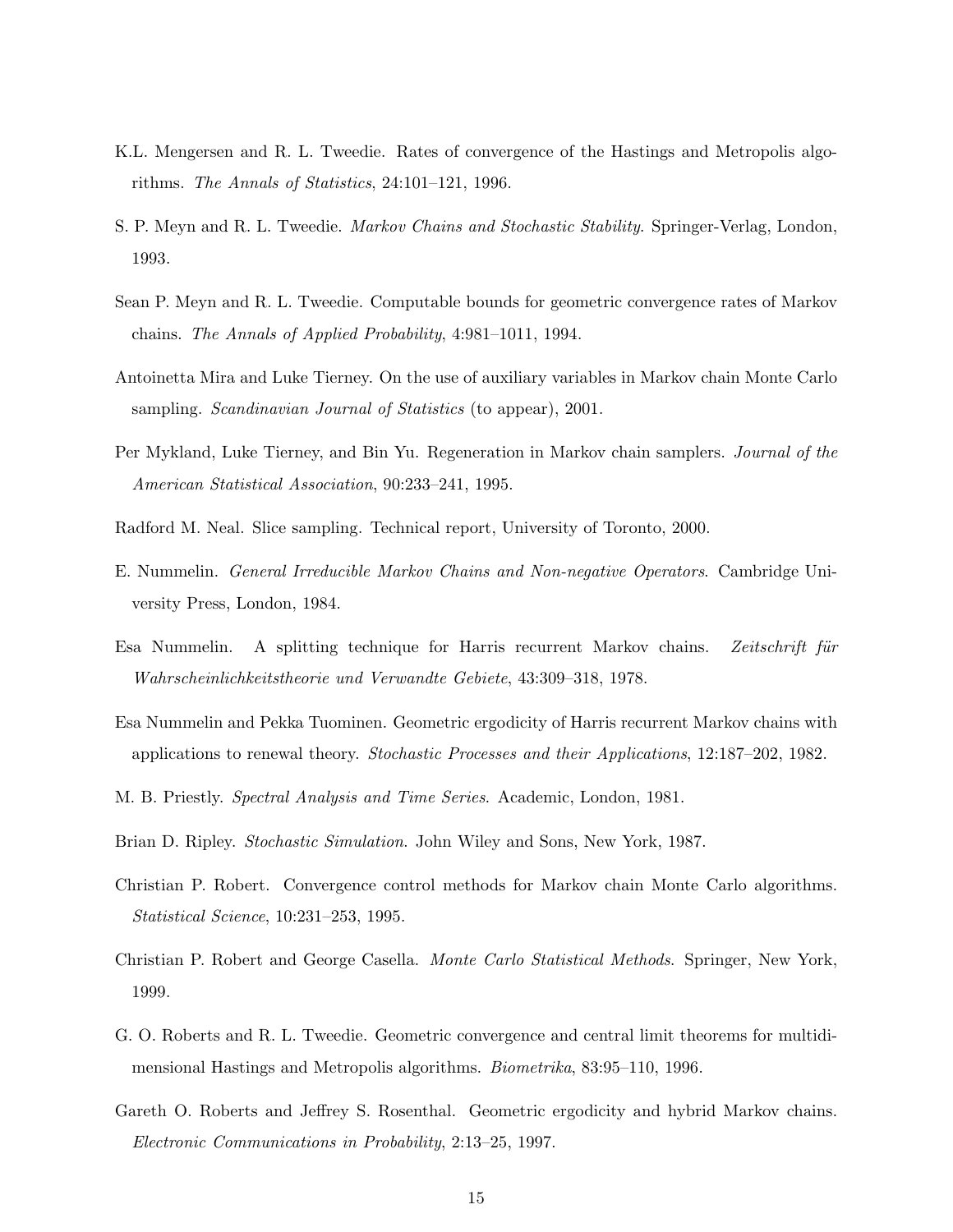- K.L. Mengersen and R. L. Tweedie. Rates of convergence of the Hastings and Metropolis algorithms. The Annals of Statistics, 24:101–121, 1996.
- S. P. Meyn and R. L. Tweedie. *Markov Chains and Stochastic Stability*. Springer-Verlag, London, 1993.
- Sean P. Meyn and R. L. Tweedie. Computable bounds for geometric convergence rates of Markov chains. The Annals of Applied Probability, 4:981–1011, 1994.
- Antoinetta Mira and Luke Tierney. On the use of auxiliary variables in Markov chain Monte Carlo sampling. *Scandinavian Journal of Statistics* (to appear), 2001.
- Per Mykland, Luke Tierney, and Bin Yu. Regeneration in Markov chain samplers. Journal of the American Statistical Association, 90:233–241, 1995.
- Radford M. Neal. Slice sampling. Technical report, University of Toronto, 2000.
- E. Nummelin. General Irreducible Markov Chains and Non-negative Operators. Cambridge University Press, London, 1984.
- Esa Nummelin. A splitting technique for Harris recurrent Markov chains. Zeitschrift für Wahrscheinlichkeitstheorie und Verwandte Gebiete, 43:309–318, 1978.
- Esa Nummelin and Pekka Tuominen. Geometric ergodicity of Harris recurrent Markov chains with applications to renewal theory. Stochastic Processes and their Applications, 12:187–202, 1982.
- M. B. Priestly. Spectral Analysis and Time Series. Academic, London, 1981.
- Brian D. Ripley. Stochastic Simulation. John Wiley and Sons, New York, 1987.
- Christian P. Robert. Convergence control methods for Markov chain Monte Carlo algorithms. Statistical Science, 10:231–253, 1995.
- Christian P. Robert and George Casella. Monte Carlo Statistical Methods. Springer, New York, 1999.
- G. O. Roberts and R. L. Tweedie. Geometric convergence and central limit theorems for multidimensional Hastings and Metropolis algorithms. Biometrika, 83:95–110, 1996.
- Gareth O. Roberts and Jeffrey S. Rosenthal. Geometric ergodicity and hybrid Markov chains. Electronic Communications in Probability, 2:13–25, 1997.